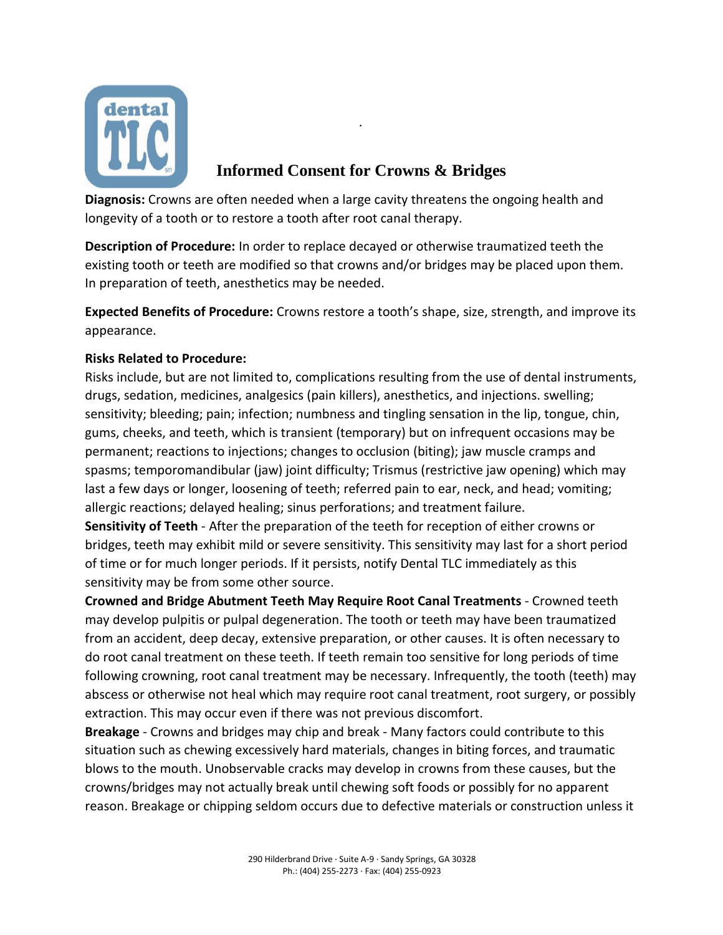

## **Informed Consent for Crowns & Bridges**

·

**Diagnosis:** Crowns are often needed when a large cavity threatens the ongoing health and longevity of a tooth or to restore a tooth after root canal therapy.

**Description of Procedure:** In order to replace decayed or otherwise traumatized teeth the existing tooth or teeth are modified so that crowns and/or bridges may be placed upon them. In preparation of teeth, anesthetics may be needed.

**Expected Benefits of Procedure:** Crowns restore a tooth's shape, size, strength, and improve its appearance.

## **Risks Related to Procedure:**

Risks include, but are not limited to, complications resulting from the use of dental instruments, drugs, sedation, medicines, analgesics (pain killers), anesthetics, and injections. swelling; sensitivity; bleeding; pain; infection; numbness and tingling sensation in the lip, tongue, chin, gums, cheeks, and teeth, which is transient (temporary) but on infrequent occasions may be permanent; reactions to injections; changes to occlusion (biting); jaw muscle cramps and spasms; temporomandibular (jaw) joint difficulty; Trismus (restrictive jaw opening) which may last a few days or longer, loosening of teeth; referred pain to ear, neck, and head; vomiting; allergic reactions; delayed healing; sinus perforations; and treatment failure.

**Sensitivity of Teeth** - After the preparation of the teeth for reception of either crowns or bridges, teeth may exhibit mild or severe sensitivity. This sensitivity may last for a short period of time or for much longer periods. If it persists, notify Dental TLC immediately as this sensitivity may be from some other source.

**Crowned and Bridge Abutment Teeth May Require Root Canal Treatments** - Crowned teeth may develop pulpitis or pulpal degeneration. The tooth or teeth may have been traumatized from an accident, deep decay, extensive preparation, or other causes. It is often necessary to do root canal treatment on these teeth. If teeth remain too sensitive for long periods of time following crowning, root canal treatment may be necessary. Infrequently, the tooth (teeth) may abscess or otherwise not heal which may require root canal treatment, root surgery, or possibly extraction. This may occur even if there was not previous discomfort.

**Breakage** - Crowns and bridges may chip and break - Many factors could contribute to this situation such as chewing excessively hard materials, changes in biting forces, and traumatic blows to the mouth. Unobservable cracks may develop in crowns from these causes, but the crowns/bridges may not actually break until chewing soft foods or possibly for no apparent reason. Breakage or chipping seldom occurs due to defective materials or construction unless it